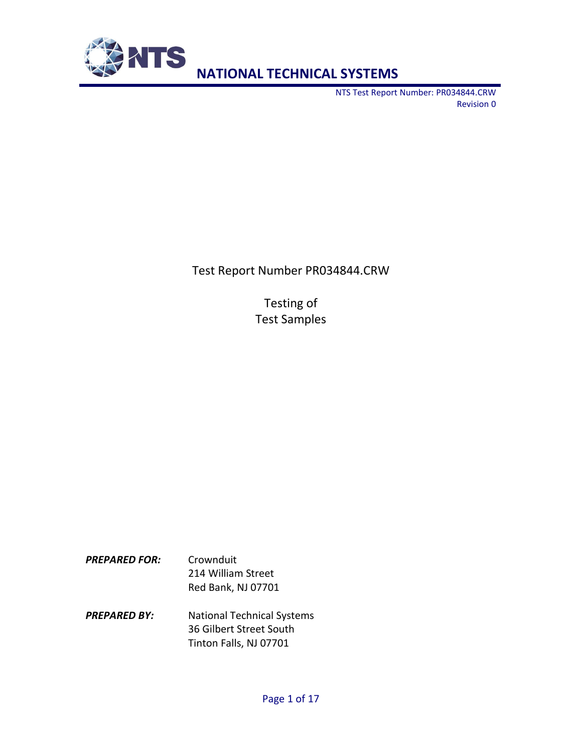

NTS Test Report Number: PR034844.CRW Revision 0

### Test Report Number PR034844.CRW

Testing of Test Samples

**PREPARED FOR:** Crownduit 214 William Street Red Bank, NJ 07701

*PREPARED BY:* National Technical Systems 36 Gilbert Street South Tinton Falls, NJ 07701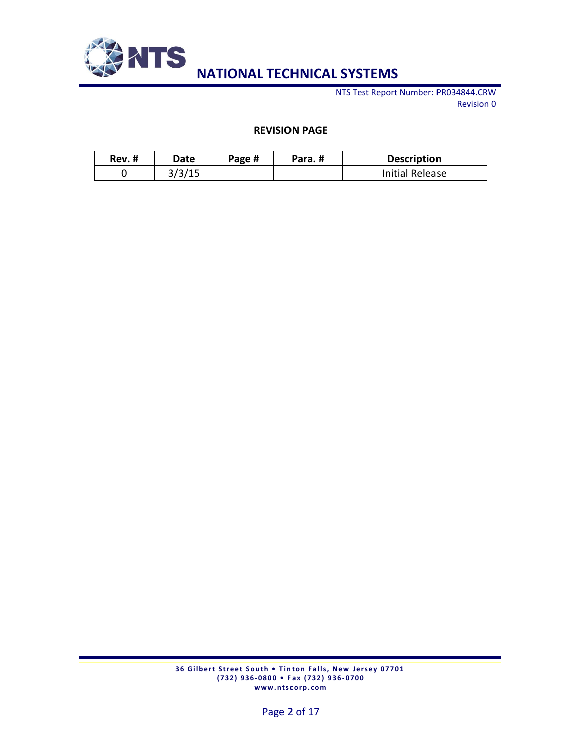

#### **REVISION PAGE**

| Rev. # | Date   | Page # | Para.# | <b>Description</b>     |
|--------|--------|--------|--------|------------------------|
|        | 3/3/15 |        |        | <b>Initial Release</b> |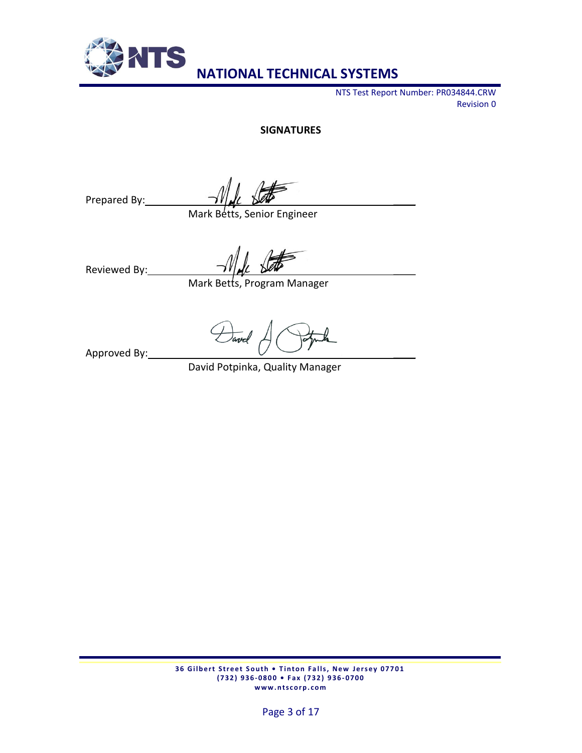

### **NATIONAL TECHNICAL SYSTEMS**

NTS Test Report Number: PR034844.CRW Revision 0

**SIGNATURES**

Prepared By:

Reviewed By:

Mark Betts, Senior Engineer

Mark Betts, Program Manager

Approved By:

David Potpinka, Quality Manager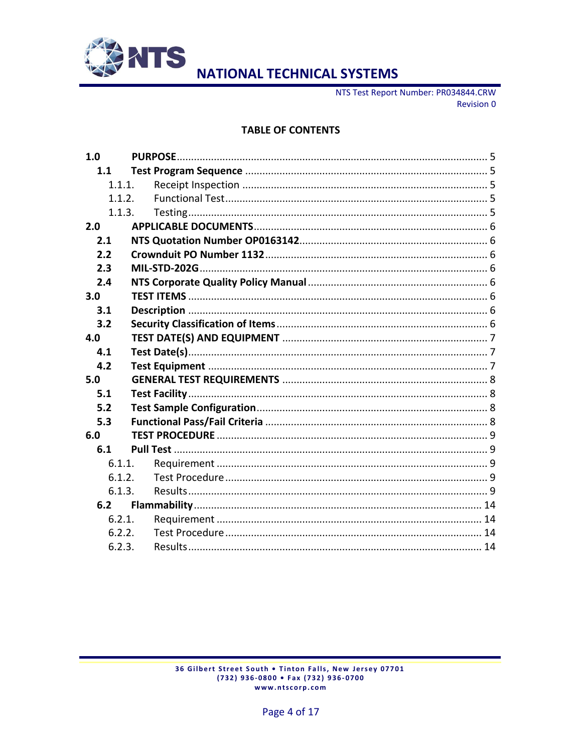

**NATIONAL TECHNICAL SYSTEMS** 

NTS Test Report Number: PR034844.CRW **Revision 0** 

#### **TABLE OF CONTENTS**

| 1.0    |  |
|--------|--|
| 1.1    |  |
| 1.1.1. |  |
| 1.1.2. |  |
| 1.1.3. |  |
| 2.0    |  |
| 2.1    |  |
| 2.2    |  |
| 2.3    |  |
| 2.4    |  |
| 3.0    |  |
| 3.1    |  |
| 3.2    |  |
| 4.0    |  |
| 4.1    |  |
| 4.2    |  |
| 5.0    |  |
| 5.1    |  |
| 5.2    |  |
| 5.3    |  |
| 6.0    |  |
| 6.1    |  |
| 6.1.1. |  |
| 6.1.2. |  |
| 6.1.3. |  |
| 6.2    |  |
| 6.2.1. |  |
| 6.2.2. |  |
| 6.2.3. |  |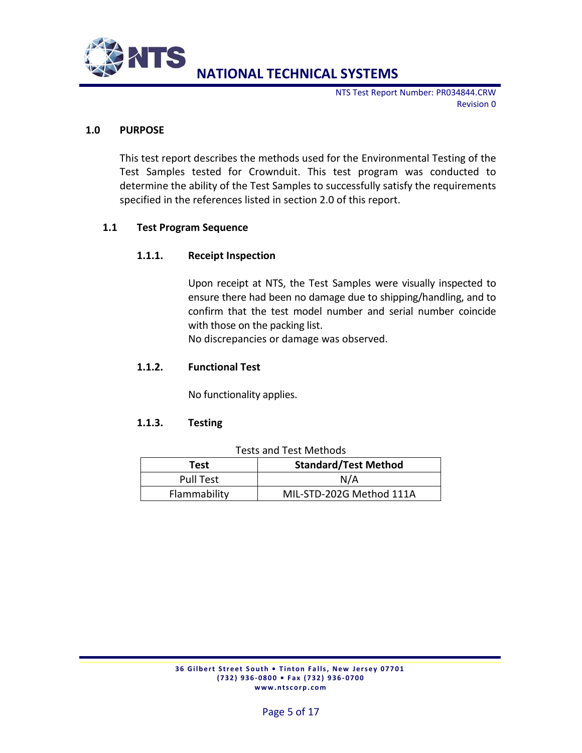

#### **1.0 PURPOSE**

<span id="page-4-0"></span>This test report describes the methods used for the Environmental Testing of the Test Samples tested for Crownduit. This test program was conducted to determine the ability of the Test Samples to successfully satisfy the requirements specified in the references listed in section 2.0 of this report.

#### **1.1 Test Program Sequence**

#### <span id="page-4-1"></span>**1.1.1. Receipt Inspection**

<span id="page-4-2"></span>Upon receipt at NTS, the Test Samples were visually inspected to ensure there had been no damage due to shipping/handling, and to confirm that the test model number and serial number coincide with those on the packing list.

<span id="page-4-3"></span>No discrepancies or damage was observed.

#### **1.1.2. Functional Test**

<span id="page-4-4"></span>No functionality applies.

#### **1.1.3. Testing**

| TC3L3 dTIU TC3L IVICLIIOU3 |                             |  |  |  |  |
|----------------------------|-----------------------------|--|--|--|--|
| Test                       | <b>Standard/Test Method</b> |  |  |  |  |
| Pull Test                  | N/A                         |  |  |  |  |
| Flammability               | MIL-STD-202G Method 111A    |  |  |  |  |

Tests and Test Methods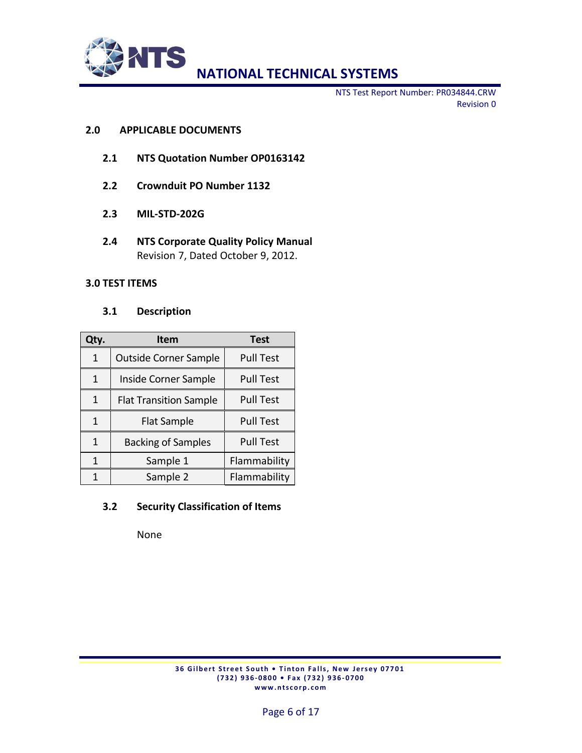

#### <span id="page-5-0"></span>**2.0 APPLICABLE DOCUMENTS**

- <span id="page-5-1"></span>**2.1 NTS Quotation Number OP0163142**
- <span id="page-5-2"></span>**2.2 Crownduit PO Number 1132**
- <span id="page-5-3"></span>**2.3 MIL-STD-202G**
- <span id="page-5-4"></span>**2.4 NTS Corporate Quality Policy Manual** Revision 7, Dated October 9, 2012.

#### <span id="page-5-5"></span>**3.0 TEST ITEMS**

#### <span id="page-5-6"></span>**3.1 Description**

| Qty.         | <b>Item</b>                   | <b>Test</b>      |
|--------------|-------------------------------|------------------|
| $\mathbf{1}$ | <b>Outside Corner Sample</b>  | <b>Pull Test</b> |
| 1            | Inside Corner Sample          | <b>Pull Test</b> |
| 1            | <b>Flat Transition Sample</b> | <b>Pull Test</b> |
| 1            | <b>Flat Sample</b>            | <b>Pull Test</b> |
| 1            | <b>Backing of Samples</b>     | <b>Pull Test</b> |
| 1            | Sample 1                      | Flammability     |
| 1            | Sample 2                      | Flammability     |

### **3.2 Security Classification of Items**

<span id="page-5-7"></span>None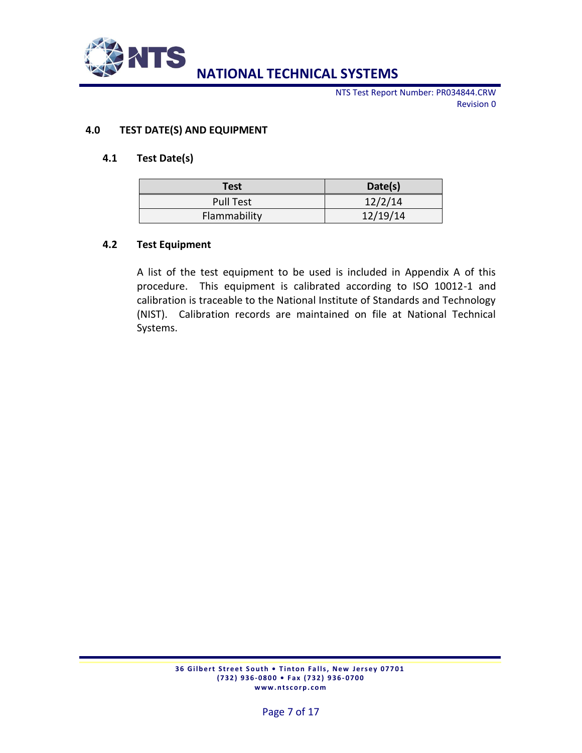

#### <span id="page-6-0"></span>**4.0 TEST DATE(S) AND EQUIPMENT**

#### <span id="page-6-1"></span>**4.1 Test Date(s)**

| <b>Test</b>      | Date(s)  |  |  |  |
|------------------|----------|--|--|--|
| <b>Pull Test</b> | 12/2/14  |  |  |  |
| Flammability     | 12/19/14 |  |  |  |

#### **4.2 Test Equipment**

<span id="page-6-2"></span>A list of the test equipment to be used is included in Appendix A of this procedure. This equipment is calibrated according to ISO 10012-1 and calibration is traceable to the National Institute of Standards and Technology (NIST). Calibration records are maintained on file at National Technical Systems.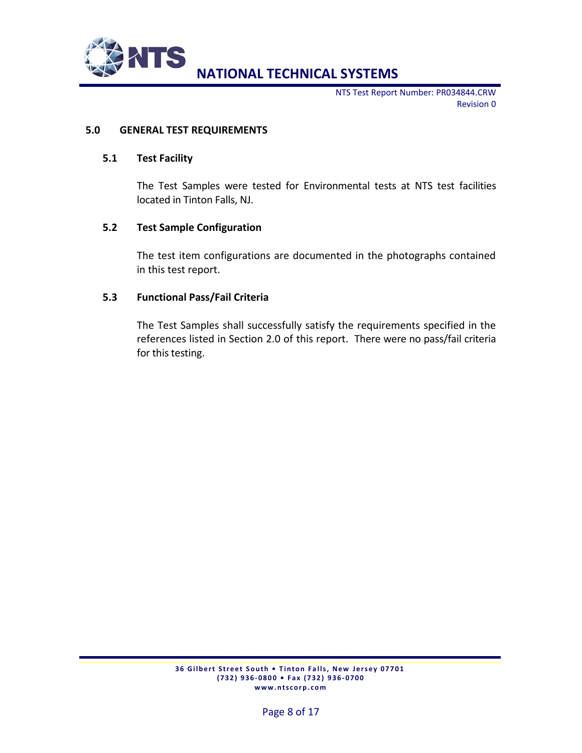

#### <span id="page-7-0"></span>**5.0 GENERAL TEST REQUIREMENTS**

#### **5.1 Test Facility**

<span id="page-7-1"></span>The Test Samples were tested for Environmental tests at NTS test facilities located in Tinton Falls, NJ.

#### **5.2 Test Sample Configuration**

<span id="page-7-2"></span>The test item configurations are documented in the photographs contained in this test report.

#### **5.3 Functional Pass/Fail Criteria**

<span id="page-7-3"></span>The Test Samples shall successfully satisfy the requirements specified in the references listed in Section 2.0 of this report. There were no pass/fail criteria for this testing.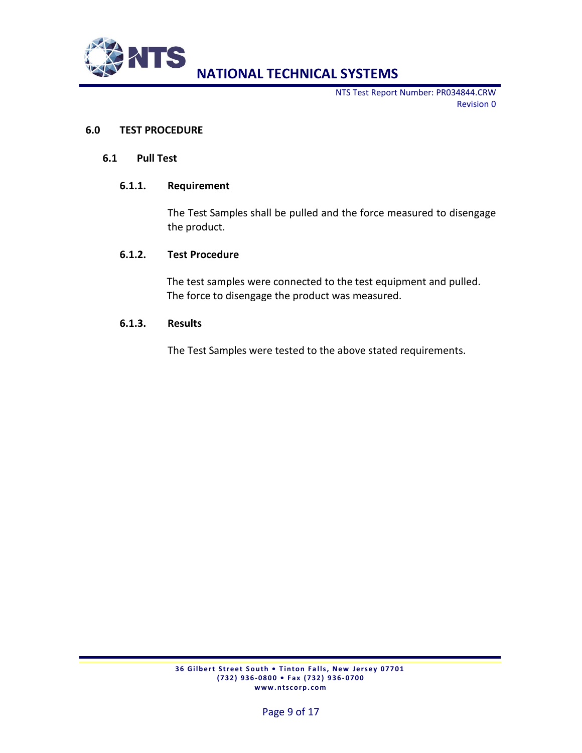

#### <span id="page-8-0"></span>**6.0 TEST PROCEDURE**

#### <span id="page-8-1"></span>**6.1 Pull Test**

#### **6.1.1. Requirement**

<span id="page-8-2"></span>The Test Samples shall be pulled and the force measured to disengage the product.

#### **6.1.2. Test Procedure**

<span id="page-8-3"></span>The test samples were connected to the test equipment and pulled. The force to disengage the product was measured.

#### **6.1.3. Results**

<span id="page-8-4"></span>The Test Samples were tested to the above stated requirements.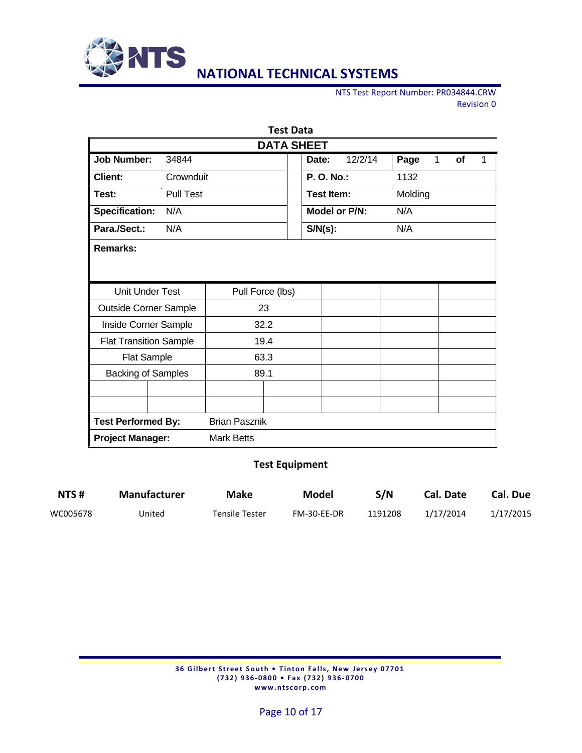

NTS Test Report Number: PR034844.CRW Revision 0

| <b>Test Data</b>              |                  |                      |                  |       |                   |               |         |             |           |   |
|-------------------------------|------------------|----------------------|------------------|-------|-------------------|---------------|---------|-------------|-----------|---|
| <b>DATA SHEET</b>             |                  |                      |                  |       |                   |               |         |             |           |   |
| <b>Job Number:</b>            | 34844            |                      |                  | Date: |                   | 12/2/14       | Page    | $\mathbf 1$ | <b>of</b> | 1 |
| <b>Client:</b>                | Crownduit        |                      |                  |       | <b>P. O. No.:</b> |               | 1132    |             |           |   |
| Test:                         | <b>Pull Test</b> |                      |                  |       | <b>Test Item:</b> |               | Molding |             |           |   |
| <b>Specification:</b>         | N/A              |                      |                  |       |                   | Model or P/N: | N/A     |             |           |   |
| Para./Sect.:                  | N/A              |                      |                  |       | $S/N(s)$ :        |               | N/A     |             |           |   |
| <b>Remarks:</b>               |                  |                      |                  |       |                   |               |         |             |           |   |
|                               |                  |                      |                  |       |                   |               |         |             |           |   |
|                               |                  |                      |                  |       |                   |               |         |             |           |   |
| <b>Unit Under Test</b>        |                  |                      | Pull Force (lbs) |       |                   |               |         |             |           |   |
| <b>Outside Corner Sample</b>  |                  |                      | 23               |       |                   |               |         |             |           |   |
| Inside Corner Sample          |                  |                      | 32.2             |       |                   |               |         |             |           |   |
| <b>Flat Transition Sample</b> |                  |                      | 19.4             |       |                   |               |         |             |           |   |
| <b>Flat Sample</b>            |                  |                      | 63.3             |       |                   |               |         |             |           |   |
| <b>Backing of Samples</b>     |                  | 89.1                 |                  |       |                   |               |         |             |           |   |
|                               |                  |                      |                  |       |                   |               |         |             |           |   |
|                               |                  |                      |                  |       |                   |               |         |             |           |   |
| <b>Test Performed By:</b>     |                  | <b>Brian Pasznik</b> |                  |       |                   |               |         |             |           |   |
| <b>Project Manager:</b>       |                  | <b>Mark Betts</b>    |                  |       |                   |               |         |             |           |   |

#### **Test Equipment**

| NTS#     | <b>Manufacturer</b> | <b>Make</b>    | <b>Model</b> | S/N     | Cal. Date | Cal. Due  |
|----------|---------------------|----------------|--------------|---------|-----------|-----------|
| WC005678 | United              | Tensile Tester | FM-30-EE-DR  | 1191208 | 1/17/2014 | 1/17/2015 |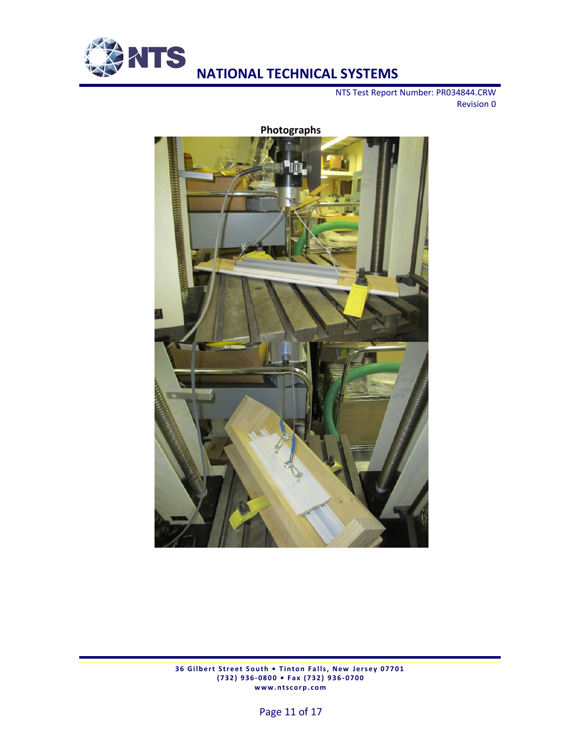

NTS Test Report Number: PR034844.CRW Revision 0



**36 Gilbert Street South • Tinton Falls, New Jersey 07701 ( 7 3 2 ) 9 3 6 - 0 8 0 0 • F a x ( 7 3 2 ) 9 3 6 - 0700** www.ntscorp.com

Page 11 of 17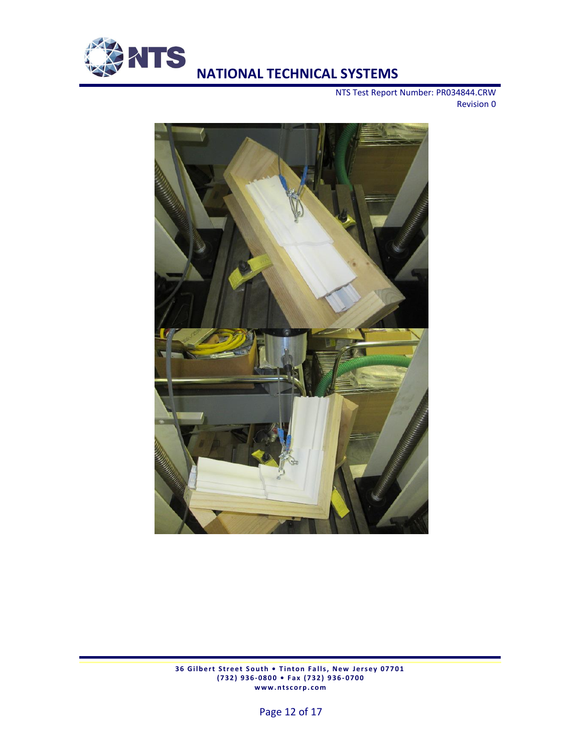

NTS Test Report Number: PR034844.CRW Revision 0

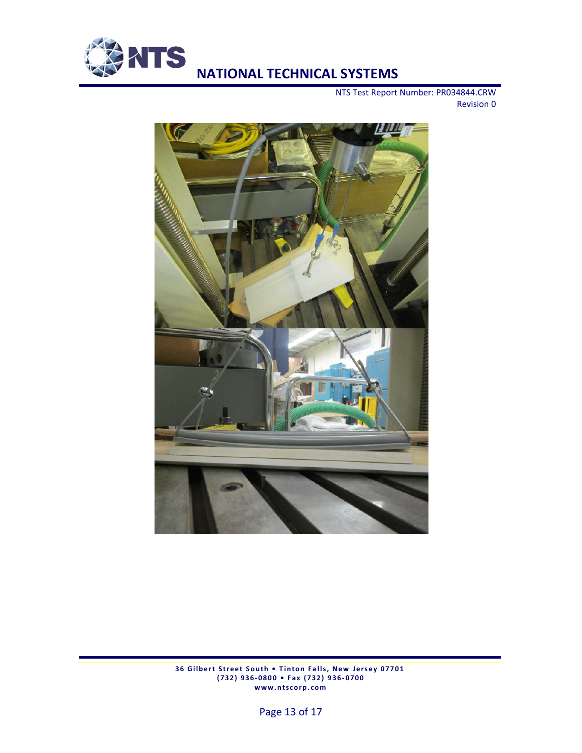

NTS Test Report Number: PR034844.CRW Revision 0

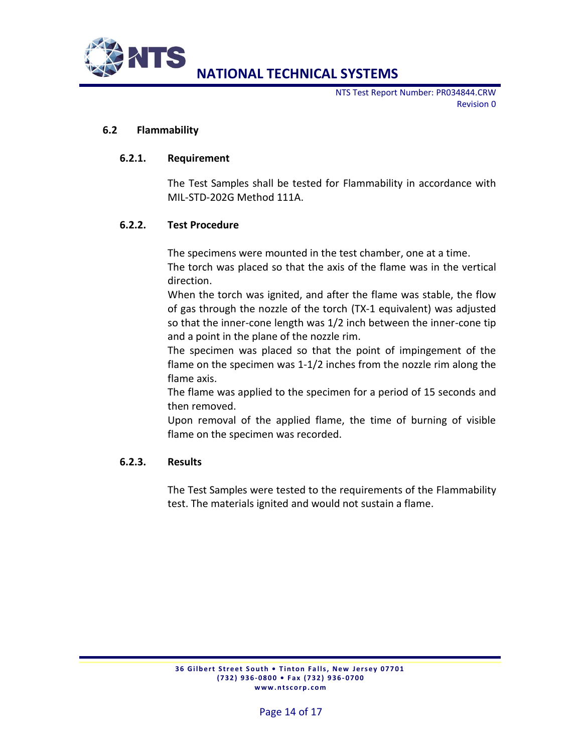

#### <span id="page-13-0"></span>**6.2 Flammability**

#### **6.2.1. Requirement**

<span id="page-13-1"></span>The Test Samples shall be tested for Flammability in accordance with MIL-STD-202G Method 111A.

#### **6.2.2. Test Procedure**

<span id="page-13-2"></span>The specimens were mounted in the test chamber, one at a time. The torch was placed so that the axis of the flame was in the vertical direction.

When the torch was ignited, and after the flame was stable, the flow of gas through the nozzle of the torch (TX-1 equivalent) was adjusted so that the inner-cone length was 1/2 inch between the inner-cone tip and a point in the plane of the nozzle rim.

The specimen was placed so that the point of impingement of the flame on the specimen was 1-1/2 inches from the nozzle rim along the flame axis.

The flame was applied to the specimen for a period of 15 seconds and then removed.

Upon removal of the applied flame, the time of burning of visible flame on the specimen was recorded.

#### <span id="page-13-3"></span>**6.2.3. Results**

The Test Samples were tested to the requirements of the Flammability test. The materials ignited and would not sustain a flame.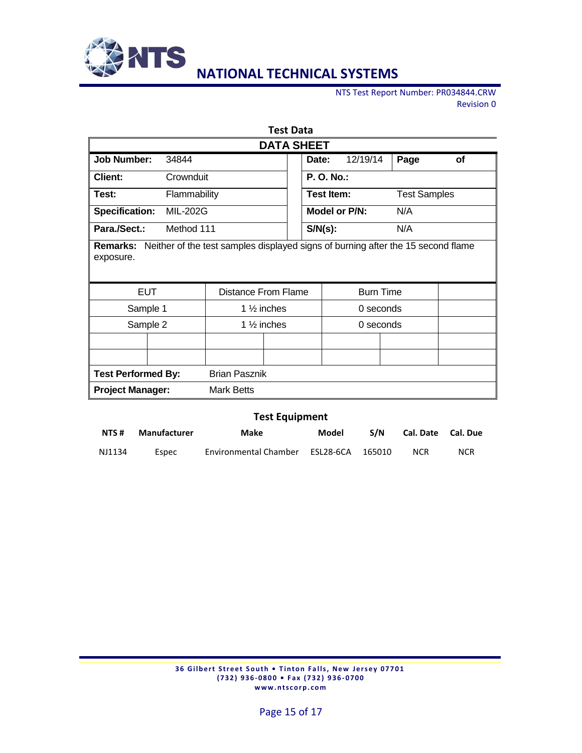

NTS Test Report Number: PR034844.CRW Revision 0

| <b>Test Data</b>                             |                                                                                                  |                            |                        |                   |                     |               |      |    |  |  |
|----------------------------------------------|--------------------------------------------------------------------------------------------------|----------------------------|------------------------|-------------------|---------------------|---------------|------|----|--|--|
| <b>DATA SHEET</b>                            |                                                                                                  |                            |                        |                   |                     |               |      |    |  |  |
| <b>Job Number:</b>                           | 34844                                                                                            |                            |                        | Date:             |                     | 12/19/14      | Page | of |  |  |
| <b>Client:</b>                               | Crownduit                                                                                        |                            |                        | P. O. No.:        |                     |               |      |    |  |  |
| Test:                                        | Flammability                                                                                     |                            |                        | <b>Test Item:</b> | <b>Test Samples</b> |               |      |    |  |  |
| <b>Specification:</b>                        | <b>MIL-202G</b>                                                                                  |                            |                        |                   |                     | Model or P/N: | N/A  |    |  |  |
| Para / Sect.:                                | Method 111                                                                                       |                            |                        | $S/N(s)$ :        |                     |               | N/A  |    |  |  |
| exposure.                                    | <b>Remarks:</b> Neither of the test samples displayed signs of burning after the 15 second flame |                            |                        |                   |                     |               |      |    |  |  |
| <b>EUT</b>                                   |                                                                                                  | <b>Distance From Flame</b> |                        | <b>Burn Time</b>  |                     |               |      |    |  |  |
| Sample 1                                     |                                                                                                  |                            | 1 $\frac{1}{2}$ inches | 0 seconds         |                     |               |      |    |  |  |
| Sample 2<br>1 $\frac{1}{2}$ inches           |                                                                                                  |                            |                        | 0 seconds         |                     |               |      |    |  |  |
|                                              |                                                                                                  |                            |                        |                   |                     |               |      |    |  |  |
|                                              |                                                                                                  |                            |                        |                   |                     |               |      |    |  |  |
| <b>Test Performed By:</b>                    |                                                                                                  | <b>Brian Pasznik</b>       |                        |                   |                     |               |      |    |  |  |
| <b>Project Manager:</b><br><b>Mark Betts</b> |                                                                                                  |                            |                        |                   |                     |               |      |    |  |  |

### **Test Equipment**

| NTS #  | Manufacturer | Make                                   | Model | S/N | Cal. Date Cal. Due |            |
|--------|--------------|----------------------------------------|-------|-----|--------------------|------------|
| NJ1134 | Espec        | Environmental Chamber ESL28-6CA 165010 |       |     | <b>NCR</b>         | <b>NCR</b> |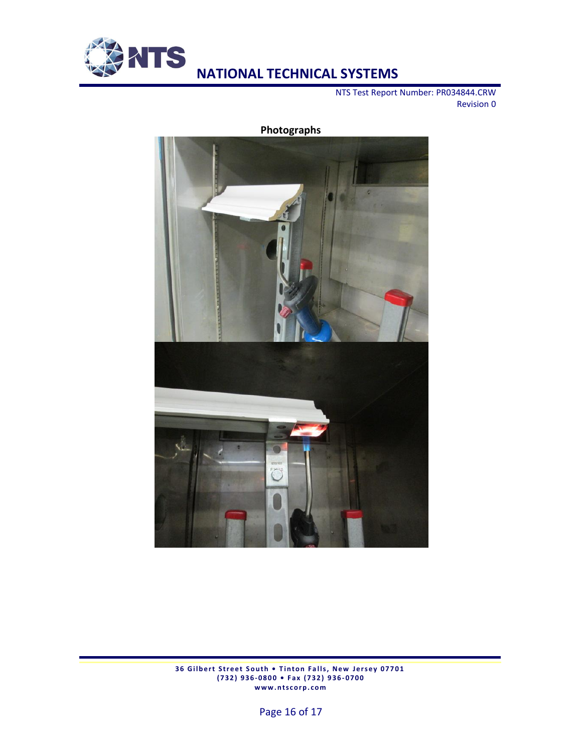